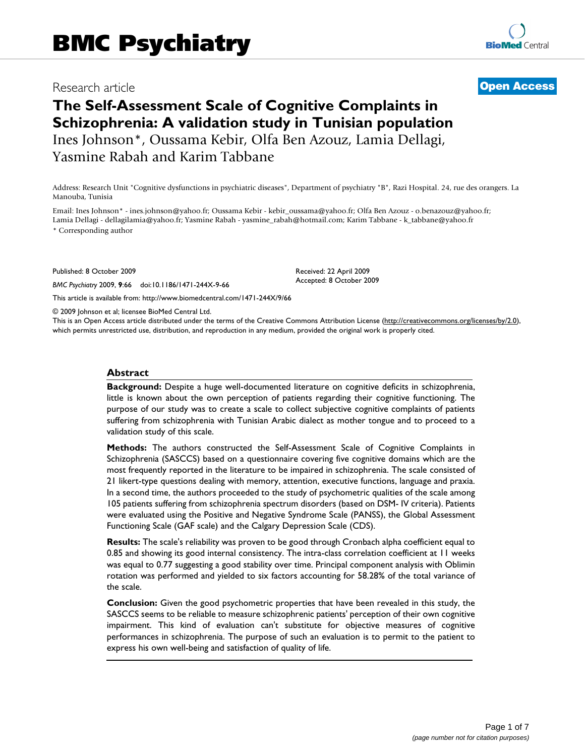## Research article **[Open Access](http://www.biomedcentral.com/info/about/charter/)**

# **The Self-Assessment Scale of Cognitive Complaints in Schizophrenia: A validation study in Tunisian population** Ines Johnson\*, Oussama Kebir, Olfa Ben Azouz, Lamia Dellagi, Yasmine Rabah and Karim Tabbane

Address: Research Unit "Cognitive dysfunctions in psychiatric diseases", Department of psychiatry "B", Razi Hospital. 24, rue des orangers. La Manouba, Tunisia

Email: Ines Johnson\* - ines.johnson@yahoo.fr; Oussama Kebir - kebir\_oussama@yahoo.fr; Olfa Ben Azouz - o.benazouz@yahoo.fr; Lamia Dellagi - dellagilamia@yahoo.fr; Yasmine Rabah - yasmine\_rabah@hotmail.com; Karim Tabbane - k\_tabbane@yahoo.fr

\* Corresponding author

Published: 8 October 2009

*BMC Psychiatry* 2009, **9**:66 doi:10.1186/1471-244X-9-66

[This article is available from: http://www.biomedcentral.com/1471-244X/9/66](http://www.biomedcentral.com/1471-244X/9/66)

© 2009 Johnson et al; licensee BioMed Central Ltd.

This is an Open Access article distributed under the terms of the Creative Commons Attribution License [\(http://creativecommons.org/licenses/by/2.0\)](http://creativecommons.org/licenses/by/2.0), which permits unrestricted use, distribution, and reproduction in any medium, provided the original work is properly cited.

Received: 22 April 2009 Accepted: 8 October 2009

#### **Abstract**

**Background:** Despite a huge well-documented literature on cognitive deficits in schizophrenia, little is known about the own perception of patients regarding their cognitive functioning. The purpose of our study was to create a scale to collect subjective cognitive complaints of patients suffering from schizophrenia with Tunisian Arabic dialect as mother tongue and to proceed to a validation study of this scale.

**Methods:** The authors constructed the Self-Assessment Scale of Cognitive Complaints in Schizophrenia (SASCCS) based on a questionnaire covering five cognitive domains which are the most frequently reported in the literature to be impaired in schizophrenia. The scale consisted of 21 likert-type questions dealing with memory, attention, executive functions, language and praxia. In a second time, the authors proceeded to the study of psychometric qualities of the scale among 105 patients suffering from schizophrenia spectrum disorders (based on DSM- IV criteria). Patients were evaluated using the Positive and Negative Syndrome Scale (PANSS), the Global Assessment Functioning Scale (GAF scale) and the Calgary Depression Scale (CDS).

**Results:** The scale's reliability was proven to be good through Cronbach alpha coefficient equal to 0.85 and showing its good internal consistency. The intra-class correlation coefficient at 11 weeks was equal to 0.77 suggesting a good stability over time. Principal component analysis with Oblimin rotation was performed and yielded to six factors accounting for 58.28% of the total variance of the scale.

**Conclusion:** Given the good psychometric properties that have been revealed in this study, the SASCCS seems to be reliable to measure schizophrenic patients' perception of their own cognitive impairment. This kind of evaluation can't substitute for objective measures of cognitive performances in schizophrenia. The purpose of such an evaluation is to permit to the patient to express his own well-being and satisfaction of quality of life.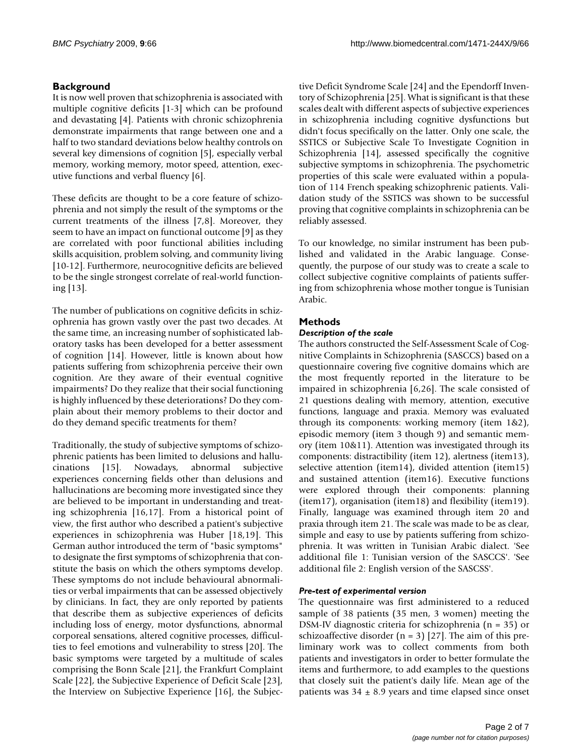## **Background**

It is now well proven that schizophrenia is associated with multiple cognitive deficits [[1-](#page-5-0)[3](#page-5-1)] which can be profound and devastating [\[4\]](#page-5-2). Patients with chronic schizophrenia demonstrate impairments that range between one and a half to two standard deviations below healthy controls on several key dimensions of cognition [\[5](#page-5-3)], especially verbal memory, working memory, motor speed, attention, executive functions and verbal fluency [\[6](#page-6-0)].

These deficits are thought to be a core feature of schizophrenia and not simply the result of the symptoms or the current treatments of the illness [\[7](#page-6-1),[8](#page-6-2)]. Moreover, they seem to have an impact on functional outcome [[9\]](#page-6-3) as they are correlated with poor functional abilities including skills acquisition, problem solving, and community living [[10](#page-6-4)[-12](#page-6-5)]. Furthermore, neurocognitive deficits are believed to be the single strongest correlate of real-world functioning [\[13](#page-6-6)].

The number of publications on cognitive deficits in schizophrenia has grown vastly over the past two decades. At the same time, an increasing number of sophisticated laboratory tasks has been developed for a better assessment of cognition [[14\]](#page-6-7). However, little is known about how patients suffering from schizophrenia perceive their own cognition. Are they aware of their eventual cognitive impairments? Do they realize that their social functioning is highly influenced by these deteriorations? Do they complain about their memory problems to their doctor and do they demand specific treatments for them?

Traditionally, the study of subjective symptoms of schizophrenic patients has been limited to delusions and hallucinations [\[15](#page-6-8)]. Nowadays, abnormal subjective experiences concerning fields other than delusions and hallucinations are becoming more investigated since they are believed to be important in understanding and treating schizophrenia [[16,](#page-6-9)[17\]](#page-6-10). From a historical point of view, the first author who described a patient's subjective experiences in schizophrenia was Huber [\[18](#page-6-11)[,19](#page-6-12)]. This German author introduced the term of "basic symptoms" to designate the first symptoms of schizophrenia that constitute the basis on which the others symptoms develop. These symptoms do not include behavioural abnormalities or verbal impairments that can be assessed objectively by clinicians. In fact, they are only reported by patients that describe them as subjective experiences of deficits including loss of energy, motor dysfunctions, abnormal corporeal sensations, altered cognitive processes, difficulties to feel emotions and vulnerability to stress [[20\]](#page-6-13). The basic symptoms were targeted by a multitude of scales comprising the Bonn Scale [[21](#page-6-14)], the Frankfurt Complaint Scale [\[22](#page-6-15)], the Subjective Experience of Deficit Scale [\[23](#page-6-16)], the Interview on Subjective Experience [\[16](#page-6-9)], the Subjective Deficit Syndrome Scale [[24](#page-6-17)] and the Ependorff Inventory of Schizophrenia [\[25\]](#page-6-18). What is significant is that these scales dealt with different aspects of subjective experiences in schizophrenia including cognitive dysfunctions but didn't focus specifically on the latter. Only one scale, the SSTICS or Subjective Scale To Investigate Cognition in Schizophrenia [[14](#page-6-7)], assessed specifically the cognitive subjective symptoms in schizophrenia. The psychometric properties of this scale were evaluated within a population of 114 French speaking schizophrenic patients. Validation study of the SSTICS was shown to be successful proving that cognitive complaints in schizophrenia can be reliably assessed.

To our knowledge, no similar instrument has been published and validated in the Arabic language. Consequently, the purpose of our study was to create a scale to collect subjective cognitive complaints of patients suffering from schizophrenia whose mother tongue is Tunisian Arabic.

## **Methods**

## *Description of the scale*

The authors constructed the Self-Assessment Scale of Cognitive Complaints in Schizophrenia (SASCCS) based on a questionnaire covering five cognitive domains which are the most frequently reported in the literature to be impaired in schizophrenia [[6](#page-6-0),[26](#page-6-19)]. The scale consisted of 21 questions dealing with memory, attention, executive functions, language and praxia. Memory was evaluated through its components: working memory (item 1&2), episodic memory (item 3 though 9) and semantic memory (item 10&11). Attention was investigated through its components: distractibility (item 12), alertness (item13), selective attention (item14), divided attention (item15) and sustained attention (item16). Executive functions were explored through their components: planning (item17), organisation (item18) and flexibility (item19). Finally, language was examined through item 20 and praxia through item 21. The scale was made to be as clear, simple and easy to use by patients suffering from schizophrenia. It was written in Tunisian Arabic dialect. 'See additional file [1](#page-5-4): Tunisian version of the SASCCS'. 'See additional file [2:](#page-5-5) English version of the SASCSS'.

## *Pre-test of experimental version*

The questionnaire was first administered to a reduced sample of 38 patients (35 men, 3 women) meeting the DSM-IV diagnostic criteria for schizophrenia (n = 35) or schizoaffective disorder  $(n = 3)$  [[27\]](#page-6-20). The aim of this preliminary work was to collect comments from both patients and investigators in order to better formulate the items and furthermore, to add examples to the questions that closely suit the patient's daily life. Mean age of the patients was  $34 \pm 8.9$  years and time elapsed since onset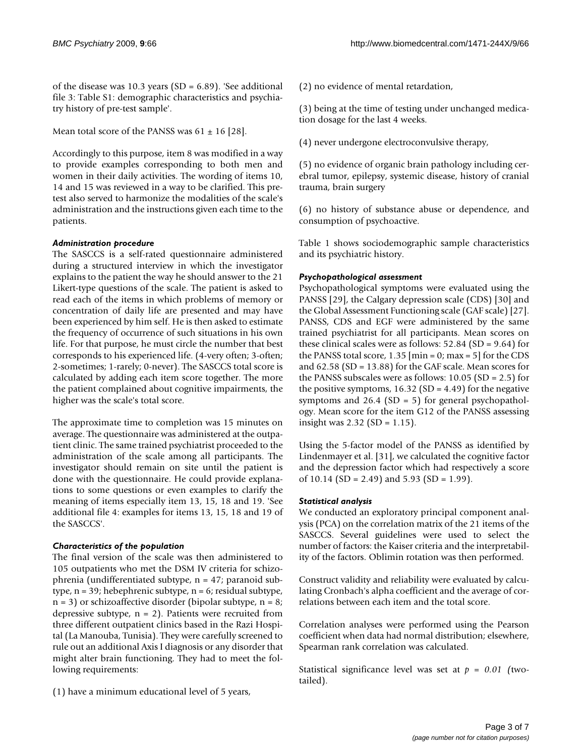of the disease was 10.3 years (SD =  $6.89$ ). 'See additional file [3:](#page-5-6) Table S1: demographic characteristics and psychiatry history of pre-test sample'.

Mean total score of the PANSS was  $61 \pm 16$  [[28\]](#page-6-21).

Accordingly to this purpose, item 8 was modified in a way to provide examples corresponding to both men and women in their daily activities. The wording of items 10, 14 and 15 was reviewed in a way to be clarified. This pretest also served to harmonize the modalities of the scale's administration and the instructions given each time to the patients.

## *Administration procedure*

The SASCCS is a self-rated questionnaire administered during a structured interview in which the investigator explains to the patient the way he should answer to the 21 Likert-type questions of the scale. The patient is asked to read each of the items in which problems of memory or concentration of daily life are presented and may have been experienced by him self. He is then asked to estimate the frequency of occurrence of such situations in his own life. For that purpose, he must circle the number that best corresponds to his experienced life. (4-very often; 3-often; 2-sometimes; 1-rarely; 0-never). The SASCCS total score is calculated by adding each item score together. The more the patient complained about cognitive impairments, the higher was the scale's total score.

The approximate time to completion was 15 minutes on average. The questionnaire was administered at the outpatient clinic. The same trained psychiatrist proceeded to the administration of the scale among all participants. The investigator should remain on site until the patient is done with the questionnaire. He could provide explanations to some questions or even examples to clarify the meaning of items especially item 13, 15, 18 and 19. 'See additional file [4:](#page-5-7) examples for items 13, 15, 18 and 19 of the SASCCS'.

## *Characteristics of the population*

The final version of the scale was then administered to 105 outpatients who met the DSM IV criteria for schizophrenia (undifferentiated subtype, n = 47; paranoid subtype, n = 39; hebephrenic subtype, n = 6; residual subtype,  $n = 3$ ) or schizoaffective disorder (bipolar subtype,  $n = 8$ ; depressive subtype,  $n = 2$ ). Patients were recruited from three different outpatient clinics based in the Razi Hospital (La Manouba, Tunisia). They were carefully screened to rule out an additional Axis I diagnosis or any disorder that might alter brain functioning. They had to meet the following requirements:

(1) have a minimum educational level of 5 years,

(2) no evidence of mental retardation,

(3) being at the time of testing under unchanged medication dosage for the last 4 weeks.

(4) never undergone electroconvulsive therapy,

(5) no evidence of organic brain pathology including cerebral tumor, epilepsy, systemic disease, history of cranial trauma, brain surgery

(6) no history of substance abuse or dependence, and consumption of psychoactive.

Table [1](#page-3-0) shows sociodemographic sample characteristics and its psychiatric history.

## *Psychopathological assessment*

Psychopathological symptoms were evaluated using the PANSS [\[29\]](#page-6-22), the Calgary depression scale (CDS) [\[30](#page-6-23)] and the Global Assessment Functioning scale (GAF scale) [\[27](#page-6-20)]. PANSS, CDS and EGF were administered by the same trained psychiatrist for all participants. Mean scores on these clinical scales were as follows: 52.84 (SD = 9.64) for the PANSS total score,  $1.35$  [min = 0; max = 5] for the CDS and 62.58 (SD = 13.88) for the GAF scale. Mean scores for the PANSS subscales were as follows: 10.05 (SD = 2.5) for the positive symptoms,  $16.32$  (SD = 4.49) for the negative symptoms and  $26.4$  (SD = 5) for general psychopathology. Mean score for the item G12 of the PANSS assessing insight was  $2.32$  (SD = 1.15).

Using the 5-factor model of the PANSS as identified by Lindenmayer et al. [\[31](#page-6-24)], we calculated the cognitive factor and the depression factor which had respectively a score of  $10.14$  (SD = 2.49) and  $5.93$  (SD = 1.99).

## *Statistical analysis*

We conducted an exploratory principal component analysis (PCA) on the correlation matrix of the 21 items of the SASCCS. Several guidelines were used to select the number of factors: the Kaiser criteria and the interpretability of the factors. Oblimin rotation was then performed.

Construct validity and reliability were evaluated by calculating Cronbach's alpha coefficient and the average of correlations between each item and the total score.

Correlation analyses were performed using the Pearson coefficient when data had normal distribution; elsewhere, Spearman rank correlation was calculated.

Statistical significance level was set at *p = 0.01 (*twotailed).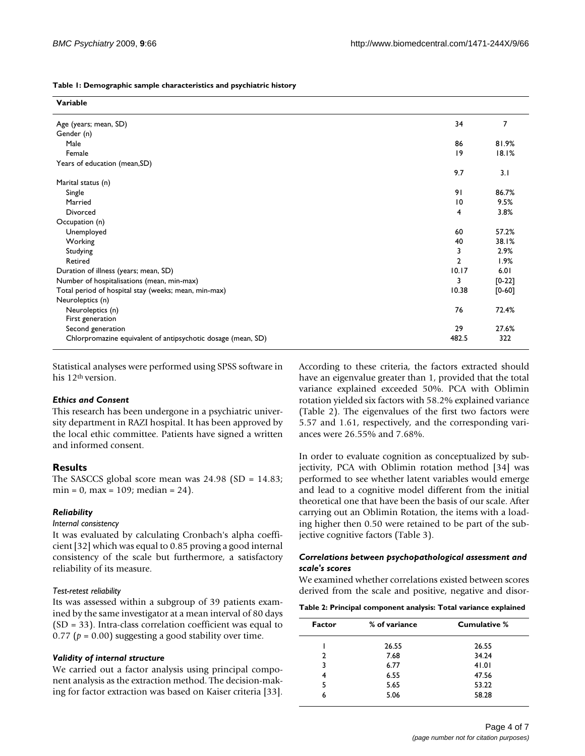<span id="page-3-0"></span>

| Variable                                                     |                 |            |
|--------------------------------------------------------------|-----------------|------------|
| Age (years; mean, SD)                                        | 34              | 7          |
| Gender (n)                                                   |                 |            |
| Male                                                         | 86              | 81.9%      |
| Female                                                       | 9               | 18.1%      |
| Years of education (mean, SD)                                |                 |            |
|                                                              | 9.7             | 3.1        |
| Marital status (n)                                           |                 |            |
| Single                                                       | 91              | 86.7%      |
| Married                                                      | $\overline{10}$ | 9.5%       |
| Divorced                                                     | 4               | 3.8%       |
| Occupation (n)                                               |                 |            |
| Unemployed                                                   | 60              | 57.2%      |
| Working                                                      | 40              | 38.1%      |
| Studying                                                     | 3               | 2.9%       |
| Retired                                                      | $\overline{2}$  | 1.9%       |
| Duration of illness (years; mean, SD)                        | 10.17           | 6.01       |
| Number of hospitalisations (mean, min-max)                   | 3               | $[0-22]$   |
| Total period of hospital stay (weeks; mean, min-max)         | 10.38           | $[0 - 60]$ |
| Neuroleptics (n)                                             |                 |            |
| Neuroleptics (n)                                             | 76              | 72.4%      |
| First generation                                             |                 |            |
| Second generation                                            | 29              | 27.6%      |
| Chlorpromazine equivalent of antipsychotic dosage (mean, SD) | 482.5           | 322        |

Statistical analyses were performed using SPSS software in his 12<sup>th</sup> version.

#### *Ethics and Consent*

This research has been undergone in a psychiatric university department in RAZI hospital. It has been approved by the local ethic committee. Patients have signed a written and informed consent.

#### **Results**

The SASCCS global score mean was 24.98 (SD = 14.83;  $min = 0$ ,  $max = 109$ ;  $median = 24$ ).

#### *Reliability*

*Internal consistency*

It was evaluated by calculating Cronbach's alpha coefficient [[32\]](#page-6-25) which was equal to 0.85 proving a good internal consistency of the scale but furthermore, a satisfactory reliability of its measure.

#### *Test-retest reliability*

Its was assessed within a subgroup of 39 patients examined by the same investigator at a mean interval of 80 days (SD = 33). Intra-class correlation coefficient was equal to 0.77 ( $p = 0.00$ ) suggesting a good stability over time.

#### *Validity of internal structure*

We carried out a factor analysis using principal component analysis as the extraction method. The decision-making for factor extraction was based on Kaiser criteria [\[33](#page-6-26)]. According to these criteria, the factors extracted should have an eigenvalue greater than 1, provided that the total variance explained exceeded 50%. PCA with Oblimin rotation yielded six factors with 58.2% explained variance (Table [2](#page-3-1)). The eigenvalues of the first two factors were 5.57 and 1.61, respectively, and the corresponding variances were 26.55% and 7.68%.

In order to evaluate cognition as conceptualized by subjectivity, PCA with Oblimin rotation method [[34](#page-6-27)] was performed to see whether latent variables would emerge and lead to a cognitive model different from the initial theoretical one that have been the basis of our scale. After carrying out an Oblimin Rotation, the items with a loading higher then 0.50 were retained to be part of the subjective cognitive factors (Table [3\)](#page-4-0).

#### *Correlations between psychopathological assessment and scale's scores*

We examined whether correlations existed between scores derived from the scale and positive, negative and disor-

<span id="page-3-1"></span>

| Table 2: Principal component analysis: Total variance explained |  |  |  |
|-----------------------------------------------------------------|--|--|--|
|                                                                 |  |  |  |

| <b>Factor</b> | % of variance | Cumulative % |
|---------------|---------------|--------------|
|               | 26.55         | 26.55        |
| $\mathcal{P}$ | 7.68          | 34.24        |
| 3             | 6.77          | 41.01        |
| 4             | 6.55          | 47.56        |
| 5             | 5.65          | 53.22        |
| 6             | 5.06          | 58.28        |
|               |               |              |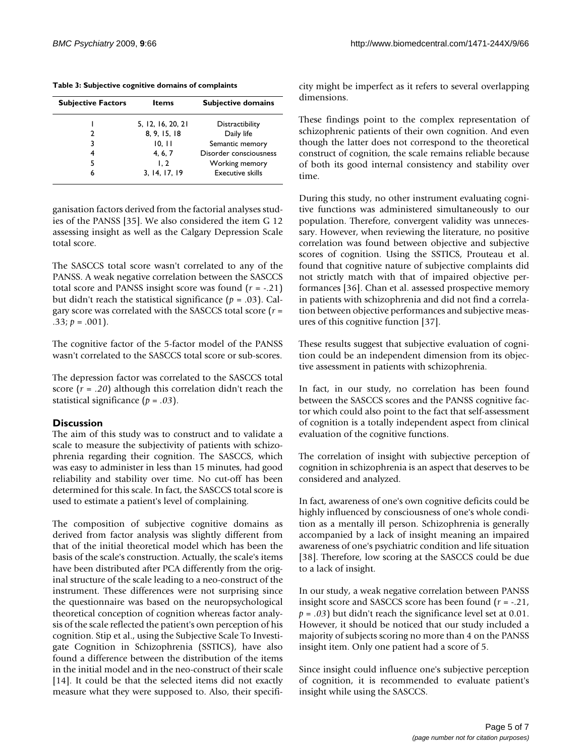<span id="page-4-0"></span>**Table 3: Subjective cognitive domains of complaints**

| <b>Items</b>      | <b>Subjective domains</b> |
|-------------------|---------------------------|
| 5, 12, 16, 20, 21 | Distractibility           |
| 8, 9, 15, 18      | Daily life                |
| 10, 11            | Semantic memory           |
| 4, 6, 7           | Disorder consciousness    |
| 1.2               | Working memory            |
| 3, 14, 17, 19     | <b>Executive skills</b>   |
|                   |                           |

ganisation factors derived from the factorial analyses studies of the PANSS [\[35](#page-6-28)]. We also considered the item G 12 assessing insight as well as the Calgary Depression Scale total score.

The SASCCS total score wasn't correlated to any of the PANSS. A weak negative correlation between the SASCCS total score and PANSS insight score was found (*r* = -.21) but didn't reach the statistical significance (*p* = .03). Calgary score was correlated with the SASCCS total score (*r* = .33;  $p = .001$ ).

The cognitive factor of the 5-factor model of the PANSS wasn't correlated to the SASCCS total score or sub-scores.

The depression factor was correlated to the SASCCS total score (*r = .20*) although this correlation didn't reach the statistical significance (*p = .03*).

## **Discussion**

The aim of this study was to construct and to validate a scale to measure the subjectivity of patients with schizophrenia regarding their cognition. The SASCCS, which was easy to administer in less than 15 minutes, had good reliability and stability over time. No cut-off has been determined for this scale. In fact, the SASCCS total score is used to estimate a patient's level of complaining.

The composition of subjective cognitive domains as derived from factor analysis was slightly different from that of the initial theoretical model which has been the basis of the scale's construction. Actually, the scale's items have been distributed after PCA differently from the original structure of the scale leading to a neo-construct of the instrument. These differences were not surprising since the questionnaire was based on the neuropsychological theoretical conception of cognition whereas factor analysis of the scale reflected the patient's own perception of his cognition. Stip et al., using the Subjective Scale To Investigate Cognition in Schizophrenia (SSTICS), have also found a difference between the distribution of the items in the initial model and in the neo-construct of their scale [[14](#page-6-7)]. It could be that the selected items did not exactly measure what they were supposed to. Also, their specificity might be imperfect as it refers to several overlapping dimensions.

These findings point to the complex representation of schizophrenic patients of their own cognition. And even though the latter does not correspond to the theoretical construct of cognition, the scale remains reliable because of both its good internal consistency and stability over time.

During this study, no other instrument evaluating cognitive functions was administered simultaneously to our population. Therefore, convergent validity was unnecessary. However, when reviewing the literature, no positive correlation was found between objective and subjective scores of cognition. Using the SSTICS, Prouteau et al. found that cognitive nature of subjective complaints did not strictly match with that of impaired objective performances [[36\]](#page-6-29). Chan et al. assessed prospective memory in patients with schizophrenia and did not find a correlation between objective performances and subjective measures of this cognitive function [[37\]](#page-6-30).

These results suggest that subjective evaluation of cognition could be an independent dimension from its objective assessment in patients with schizophrenia.

In fact, in our study, no correlation has been found between the SASCCS scores and the PANSS cognitive factor which could also point to the fact that self-assessment of cognition is a totally independent aspect from clinical evaluation of the cognitive functions.

The correlation of insight with subjective perception of cognition in schizophrenia is an aspect that deserves to be considered and analyzed.

In fact, awareness of one's own cognitive deficits could be highly influenced by consciousness of one's whole condition as a mentally ill person. Schizophrenia is generally accompanied by a lack of insight meaning an impaired awareness of one's psychiatric condition and life situation [[38](#page-6-31)]. Therefore, low scoring at the SASCCS could be due to a lack of insight.

In our study, a weak negative correlation between PANSS insight score and SASCCS score has been found (*r* = -.21, *p = .03*) but didn't reach the significance level set at 0.01. However, it should be noticed that our study included a majority of subjects scoring no more than 4 on the PANSS insight item. Only one patient had a score of 5.

Since insight could influence one's subjective perception of cognition, it is recommended to evaluate patient's insight while using the SASCCS.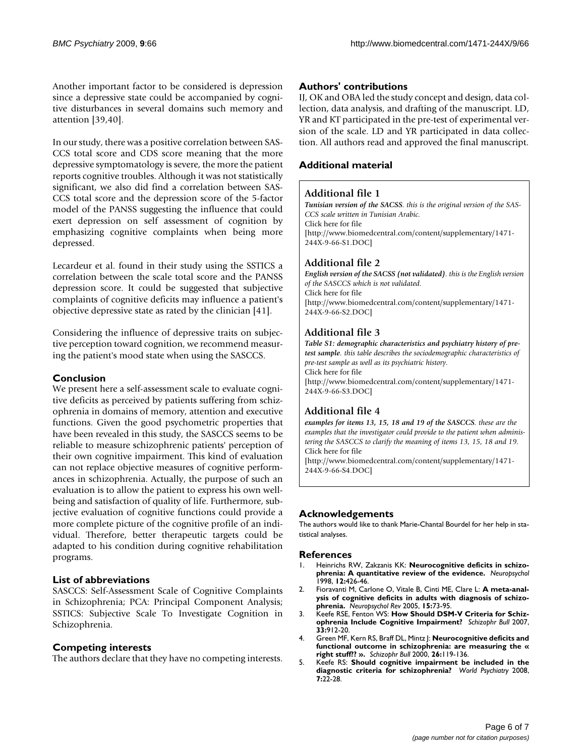Another important factor to be considered is depression since a depressive state could be accompanied by cognitive disturbances in several domains such memory and attention [\[39](#page-6-32),[40\]](#page-6-33).

In our study, there was a positive correlation between SAS-CCS total score and CDS score meaning that the more depressive symptomatology is severe, the more the patient reports cognitive troubles. Although it was not statistically significant, we also did find a correlation between SAS-CCS total score and the depression score of the 5-factor model of the PANSS suggesting the influence that could exert depression on self assessment of cognition by emphasizing cognitive complaints when being more depressed.

Lecardeur et al. found in their study using the SSTICS a correlation between the scale total score and the PANSS depression score. It could be suggested that subjective complaints of cognitive deficits may influence a patient's objective depressive state as rated by the clinician [\[41](#page-6-34)].

Considering the influence of depressive traits on subjective perception toward cognition, we recommend measuring the patient's mood state when using the SASCCS.

#### **Conclusion**

We present here a self-assessment scale to evaluate cognitive deficits as perceived by patients suffering from schizophrenia in domains of memory, attention and executive functions. Given the good psychometric properties that have been revealed in this study, the SASCCS seems to be reliable to measure schizophrenic patients' perception of their own cognitive impairment. This kind of evaluation can not replace objective measures of cognitive performances in schizophrenia. Actually, the purpose of such an evaluation is to allow the patient to express his own wellbeing and satisfaction of quality of life. Furthermore, subjective evaluation of cognitive functions could provide a more complete picture of the cognitive profile of an individual. Therefore, better therapeutic targets could be adapted to his condition during cognitive rehabilitation programs.

#### **List of abbreviations**

SASCCS: Self-Assessment Scale of Cognitive Complaints in Schizophrenia; PCA: Principal Component Analysis; SSTICS: Subjective Scale To Investigate Cognition in Schizophrenia.

#### **Competing interests**

The authors declare that they have no competing interests.

## **Authors' contributions**

IJ, OK and OBA led the study concept and design, data collection, data analysis, and drafting of the manuscript. LD, YR and KT participated in the pre-test of experimental version of the scale. LD and YR participated in data collection. All authors read and approved the final manuscript.

#### **Additional material**

#### <span id="page-5-4"></span>**Additional file 1**

*Tunisian version of the SACSS. this is the original version of the SAS-CCS scale written in Tunisian Arabic.* Click here for file [\[http://www.biomedcentral.com/content/supplementary/1471-](http://www.biomedcentral.com/content/supplementary/1471-244X-9-66-S1.DOC) 244X-9-66-S1.DOC]

#### <span id="page-5-5"></span>**Additional file 2**

*English version of the SACSS (not validated). this is the English version of the SASCCS which is not validated.* Click here for file [\[http://www.biomedcentral.com/content/supplementary/1471-](http://www.biomedcentral.com/content/supplementary/1471-244X-9-66-S2.DOC) 244X-9-66-S2.DOC]

#### <span id="page-5-6"></span>**Additional file 3**

*Table S1: demographic characteristics and psychiatry history of pretest sample. this table describes the sociodemographic characteristics of pre-test sample as well as its psychiatric history.* Click here for file [\[http://www.biomedcentral.com/content/supplementary/1471-](http://www.biomedcentral.com/content/supplementary/1471-244X-9-66-S3.DOC) 244X-9-66-S3.DOC]

#### <span id="page-5-7"></span>**Additional file 4**

*examples for items 13, 15, 18 and 19 of the SASCCS. these are the examples that the investigator could provide to the patient when administering the SASCCS to clarify the meaning of items 13, 15, 18 and 19.* Click here for file

[\[http://www.biomedcentral.com/content/supplementary/1471-](http://www.biomedcentral.com/content/supplementary/1471-244X-9-66-S4.DOC) 244X-9-66-S4.DOC]

#### **Acknowledgements**

The authors would like to thank Marie-Chantal Bourdel for her help in statistical analyses.

#### **References**

- <span id="page-5-0"></span>1. Heinrichs RW, Zakzanis KK: **Neurocognitive deficits in schizophrenia: A quantitative review of the evidence.** *Neuropsychol* 1998, **12:**426-46.
- 2. Fioravanti M, Carlone O, Vitale B, Cinti ME, Clare L: **[A meta-anal](http://www.ncbi.nlm.nih.gov/entrez/query.fcgi?cmd=Retrieve&db=PubMed&dopt=Abstract&list_uids=16211467)[ysis of cognitive deficits in adults with diagnosis of schizo](http://www.ncbi.nlm.nih.gov/entrez/query.fcgi?cmd=Retrieve&db=PubMed&dopt=Abstract&list_uids=16211467)[phrenia.](http://www.ncbi.nlm.nih.gov/entrez/query.fcgi?cmd=Retrieve&db=PubMed&dopt=Abstract&list_uids=16211467)** *Neuropsychol Rev* 2005, **15:**73-95.
- <span id="page-5-1"></span>3. Keefe RSE, Fenton WS: **[How Should DSM-V Criteria for Schiz](http://www.ncbi.nlm.nih.gov/entrez/query.fcgi?cmd=Retrieve&db=PubMed&dopt=Abstract&list_uids=17567627)[ophrenia Include Cognitive Impairment?](http://www.ncbi.nlm.nih.gov/entrez/query.fcgi?cmd=Retrieve&db=PubMed&dopt=Abstract&list_uids=17567627)** *Schizophr Bull* 2007, **33:**912-20.
- <span id="page-5-2"></span>4. Green MF, Kern RS, Braff DL, Mintz J: **[Neurocognitive deficits and](http://www.ncbi.nlm.nih.gov/entrez/query.fcgi?cmd=Retrieve&db=PubMed&dopt=Abstract&list_uids=10755673) [functional outcome in schizophrenia: are measuring the «](http://www.ncbi.nlm.nih.gov/entrez/query.fcgi?cmd=Retrieve&db=PubMed&dopt=Abstract&list_uids=10755673) [right stuff?? ».](http://www.ncbi.nlm.nih.gov/entrez/query.fcgi?cmd=Retrieve&db=PubMed&dopt=Abstract&list_uids=10755673)** *Schizophr Bull* 2000, **26:**119-136.
- <span id="page-5-3"></span>5. Keefe RS: **[Should cognitive impairment be included in the](http://www.ncbi.nlm.nih.gov/entrez/query.fcgi?cmd=Retrieve&db=PubMed&dopt=Abstract&list_uids=18458774) [diagnostic criteria for schizophrenia?](http://www.ncbi.nlm.nih.gov/entrez/query.fcgi?cmd=Retrieve&db=PubMed&dopt=Abstract&list_uids=18458774)** *World Psychiatry* 2008, **7:**22-28.